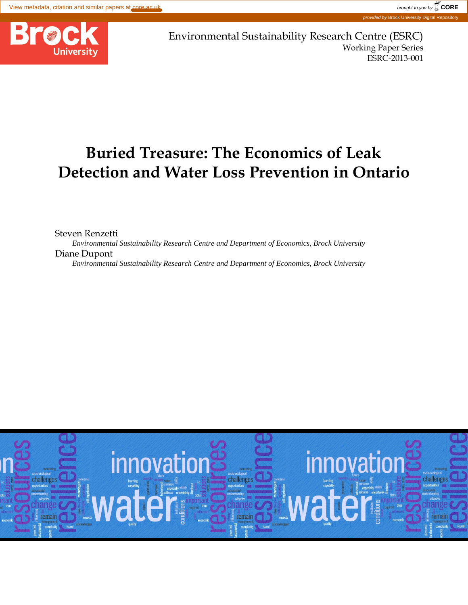

Environmental Sustainability Research Centre (ESRC) Working Paper Series ESRC-2013-001

# **Buried Treasure: The Economics of Leak Detection and Water Loss Prevention in Ontario**

Steven Renzetti *Environmental Sustainability Research Centre and Department of Economics, Brock University* Diane Dupont *Environmental Sustainability Research Centre and Department of Economics, Brock University*

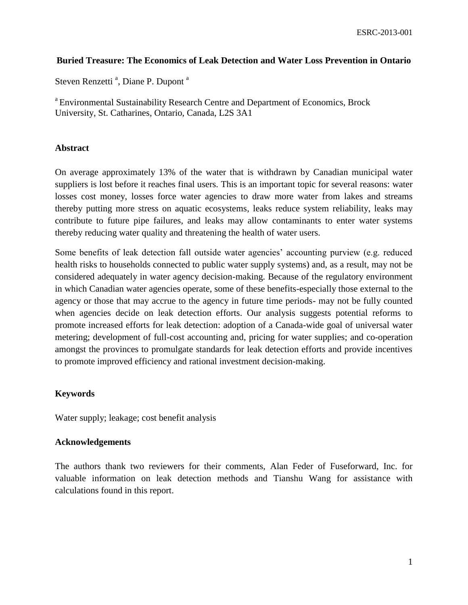## **Buried Treasure: The Economics of Leak Detection and Water Loss Prevention in Ontario**

Steven Renzetti<sup>a</sup>, Diane P. Dupont<sup>a</sup>

<sup>a</sup> Environmental Sustainability Research Centre and Department of Economics, Brock University, St. Catharines, Ontario, Canada, L2S 3A1

## **Abstract**

On average approximately 13% of the water that is withdrawn by Canadian municipal water suppliers is lost before it reaches final users. This is an important topic for several reasons: water losses cost money, losses force water agencies to draw more water from lakes and streams thereby putting more stress on aquatic ecosystems, leaks reduce system reliability, leaks may contribute to future pipe failures, and leaks may allow contaminants to enter water systems thereby reducing water quality and threatening the health of water users.

Some benefits of leak detection fall outside water agencies' accounting purview (e.g. reduced health risks to households connected to public water supply systems) and, as a result, may not be considered adequately in water agency decision-making. Because of the regulatory environment in which Canadian water agencies operate, some of these benefits-especially those external to the agency or those that may accrue to the agency in future time periods- may not be fully counted when agencies decide on leak detection efforts. Our analysis suggests potential reforms to promote increased efforts for leak detection: adoption of a Canada-wide goal of universal water metering; development of full-cost accounting and, pricing for water supplies; and co-operation amongst the provinces to promulgate standards for leak detection efforts and provide incentives to promote improved efficiency and rational investment decision-making.

## **Keywords**

Water supply; leakage; cost benefit analysis

## **Acknowledgements**

The authors thank two reviewers for their comments, Alan Feder of Fuseforward, Inc. for valuable information on leak detection methods and Tianshu Wang for assistance with calculations found in this report.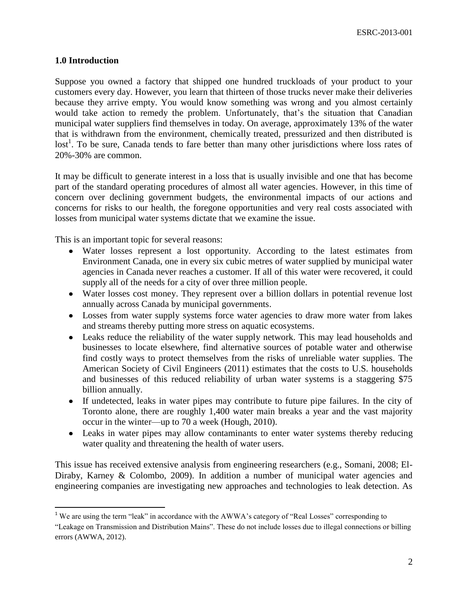## **1.0 Introduction**

 $\overline{\phantom{a}}$ 

Suppose you owned a factory that shipped one hundred truckloads of your product to your customers every day. However, you learn that thirteen of those trucks never make their deliveries because they arrive empty. You would know something was wrong and you almost certainly would take action to remedy the problem. Unfortunately, that's the situation that Canadian municipal water suppliers find themselves in today. On average, approximately 13% of the water that is withdrawn from the environment, chemically treated, pressurized and then distributed is lost<sup>1</sup>. To be sure, Canada tends to fare better than many other jurisdictions where loss rates of 20%-30% are common.

It may be difficult to generate interest in a loss that is usually invisible and one that has become part of the standard operating procedures of almost all water agencies. However, in this time of concern over declining government budgets, the environmental impacts of our actions and concerns for risks to our health, the foregone opportunities and very real costs associated with losses from municipal water systems dictate that we examine the issue.

This is an important topic for several reasons:

- Water losses represent a lost opportunity. According to the latest estimates from Environment Canada, one in every six cubic metres of water supplied by municipal water agencies in Canada never reaches a customer. If all of this water were recovered, it could supply all of the needs for a city of over three million people.
- Water losses cost money. They represent over a billion dollars in potential revenue lost annually across Canada by municipal governments.
- Losses from water supply systems force water agencies to draw more water from lakes and streams thereby putting more stress on aquatic ecosystems.
- Leaks reduce the reliability of the water supply network. This may lead households and businesses to locate elsewhere, find alternative sources of potable water and otherwise find costly ways to protect themselves from the risks of unreliable water supplies. The American Society of Civil Engineers (2011) estimates that the costs to U.S. households and businesses of this reduced reliability of urban water systems is a staggering \$75 billion annually.
- If undetected, leaks in water pipes may contribute to future pipe failures. In the city of Toronto alone, there are roughly 1,400 water main breaks a year and the vast majority occur in the winter—up to 70 a week (Hough, 2010).
- Leaks in water pipes may allow contaminants to enter water systems thereby reducing water quality and threatening the health of water users.

This issue has received extensive analysis from engineering researchers (e.g., Somani, 2008; El-Diraby, Karney & Colombo, 2009). In addition a number of municipal water agencies and engineering companies are investigating new approaches and technologies to leak detection. As

<sup>&</sup>lt;sup>1</sup> We are using the term "leak" in accordance with the AWWA's category of "Real Losses" corresponding to

<sup>&</sup>quot;Leakage on Transmission and Distribution Mains". These do not include losses due to illegal connections or billing errors (AWWA, 2012).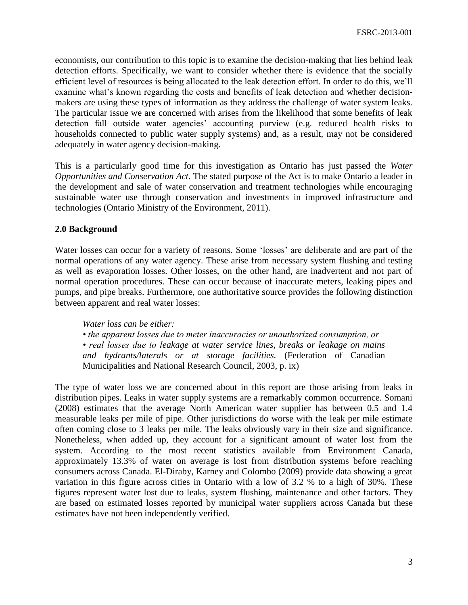economists, our contribution to this topic is to examine the decision-making that lies behind leak detection efforts. Specifically, we want to consider whether there is evidence that the socially efficient level of resources is being allocated to the leak detection effort. In order to do this, we'll examine what's known regarding the costs and benefits of leak detection and whether decisionmakers are using these types of information as they address the challenge of water system leaks. The particular issue we are concerned with arises from the likelihood that some benefits of leak detection fall outside water agencies' accounting purview (e.g. reduced health risks to households connected to public water supply systems) and, as a result, may not be considered adequately in water agency decision-making.

This is a particularly good time for this investigation as Ontario has just passed the *Water Opportunities and Conservation Act*. The stated purpose of the Act is to make Ontario a leader in the development and sale of water conservation and treatment technologies while encouraging sustainable water use through conservation and investments in improved infrastructure and technologies (Ontario Ministry of the Environment, 2011).

## **2.0 Background**

Water losses can occur for a variety of reasons. Some 'losses' are deliberate and are part of the normal operations of any water agency. These arise from necessary system flushing and testing as well as evaporation losses. Other losses, on the other hand, are inadvertent and not part of normal operation procedures. These can occur because of inaccurate meters, leaking pipes and pumps, and pipe breaks. Furthermore, one authoritative source provides the following distinction between apparent and real water losses:

## *Water loss can be either:*

*• the apparent losses due to meter inaccuracies or unauthorized consumption, or*

*• real losses due to leakage at water service lines, breaks or leakage on mains and hydrants/laterals or at storage facilities.* (Federation of Canadian Municipalities and National Research Council, 2003, p. ix)

The type of water loss we are concerned about in this report are those arising from leaks in distribution pipes. Leaks in water supply systems are a remarkably common occurrence. Somani (2008) estimates that the average North American water supplier has between 0.5 and 1.4 measurable leaks per mile of pipe. Other jurisdictions do worse with the leak per mile estimate often coming close to 3 leaks per mile. The leaks obviously vary in their size and significance. Nonetheless, when added up, they account for a significant amount of water lost from the system. According to the most recent statistics available from Environment Canada, approximately 13.3% of water on average is lost from distribution systems before reaching consumers across Canada. El-Diraby, Karney and Colombo (2009) provide data showing a great variation in this figure across cities in Ontario with a low of 3.2 % to a high of 30%. These figures represent water lost due to leaks, system flushing, maintenance and other factors. They are based on estimated losses reported by municipal water suppliers across Canada but these estimates have not been independently verified.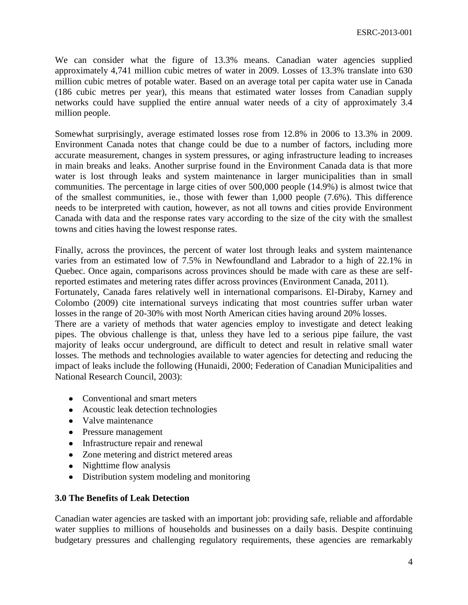We can consider what the figure of 13.3% means. Canadian water agencies supplied approximately 4,741 million cubic metres of water in 2009. Losses of 13.3% translate into 630 million cubic metres of potable water. Based on an average total per capita water use in Canada (186 cubic metres per year), this means that estimated water losses from Canadian supply networks could have supplied the entire annual water needs of a city of approximately 3.4 million people.

Somewhat surprisingly, average estimated losses rose from 12.8% in 2006 to 13.3% in 2009. Environment Canada notes that change could be due to a number of factors, including more accurate measurement, changes in system pressures, or aging infrastructure leading to increases in main breaks and leaks. Another surprise found in the Environment Canada data is that more water is lost through leaks and system maintenance in larger municipalities than in small communities. The percentage in large cities of over 500,000 people (14.9%) is almost twice that of the smallest communities, ie., those with fewer than 1,000 people (7.6%). This difference needs to be interpreted with caution, however, as not all towns and cities provide Environment Canada with data and the response rates vary according to the size of the city with the smallest towns and cities having the lowest response rates.

Finally, across the provinces, the percent of water lost through leaks and system maintenance varies from an estimated low of 7.5% in Newfoundland and Labrador to a high of 22.1% in Quebec. Once again, comparisons across provinces should be made with care as these are selfreported estimates and metering rates differ across provinces (Environment Canada, 2011).

Fortunately, Canada fares relatively well in international comparisons. El-Diraby, Karney and Colombo (2009) cite international surveys indicating that most countries suffer urban water losses in the range of 20-30% with most North American cities having around 20% losses.

There are a variety of methods that water agencies employ to investigate and detect leaking pipes. The obvious challenge is that, unless they have led to a serious pipe failure, the vast majority of leaks occur underground, are difficult to detect and result in relative small water losses. The methods and technologies available to water agencies for detecting and reducing the impact of leaks include the following (Hunaidi, 2000; Federation of Canadian Municipalities and National Research Council, 2003):

- Conventional and smart meters
- Acoustic leak detection technologies
- Valve maintenance
- Pressure management
- Infrastructure repair and renewal
- Zone metering and district metered areas
- Nighttime flow analysis
- Distribution system modeling and monitoring

## **3.0 The Benefits of Leak Detection**

Canadian water agencies are tasked with an important job: providing safe, reliable and affordable water supplies to millions of households and businesses on a daily basis. Despite continuing budgetary pressures and challenging regulatory requirements, these agencies are remarkably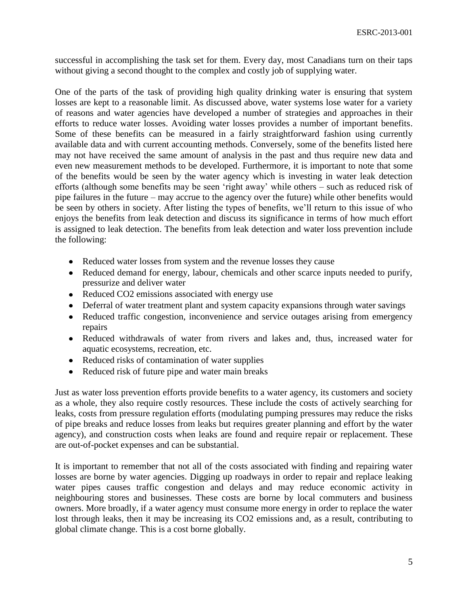successful in accomplishing the task set for them. Every day, most Canadians turn on their taps without giving a second thought to the complex and costly job of supplying water.

One of the parts of the task of providing high quality drinking water is ensuring that system losses are kept to a reasonable limit. As discussed above, water systems lose water for a variety of reasons and water agencies have developed a number of strategies and approaches in their efforts to reduce water losses. Avoiding water losses provides a number of important benefits. Some of these benefits can be measured in a fairly straightforward fashion using currently available data and with current accounting methods. Conversely, some of the benefits listed here may not have received the same amount of analysis in the past and thus require new data and even new measurement methods to be developed. Furthermore, it is important to note that some of the benefits would be seen by the water agency which is investing in water leak detection efforts (although some benefits may be seen 'right away' while others – such as reduced risk of pipe failures in the future – may accrue to the agency over the future) while other benefits would be seen by others in society. After listing the types of benefits, we'll return to this issue of who enjoys the benefits from leak detection and discuss its significance in terms of how much effort is assigned to leak detection. The benefits from leak detection and water loss prevention include the following:

- Reduced water losses from system and the revenue losses they cause
- Reduced demand for energy, labour, chemicals and other scarce inputs needed to purify, pressurize and deliver water
- Reduced CO2 emissions associated with energy use
- Deferral of water treatment plant and system capacity expansions through water savings
- Reduced traffic congestion, inconvenience and service outages arising from emergency repairs
- Reduced withdrawals of water from rivers and lakes and, thus, increased water for aquatic ecosystems, recreation, etc.
- Reduced risks of contamination of water supplies
- Reduced risk of future pipe and water main breaks

Just as water loss prevention efforts provide benefits to a water agency, its customers and society as a whole, they also require costly resources. These include the costs of actively searching for leaks, costs from pressure regulation efforts (modulating pumping pressures may reduce the risks of pipe breaks and reduce losses from leaks but requires greater planning and effort by the water agency), and construction costs when leaks are found and require repair or replacement. These are out-of-pocket expenses and can be substantial.

It is important to remember that not all of the costs associated with finding and repairing water losses are borne by water agencies. Digging up roadways in order to repair and replace leaking water pipes causes traffic congestion and delays and may reduce economic activity in neighbouring stores and businesses. These costs are borne by local commuters and business owners. More broadly, if a water agency must consume more energy in order to replace the water lost through leaks, then it may be increasing its CO2 emissions and, as a result, contributing to global climate change. This is a cost borne globally.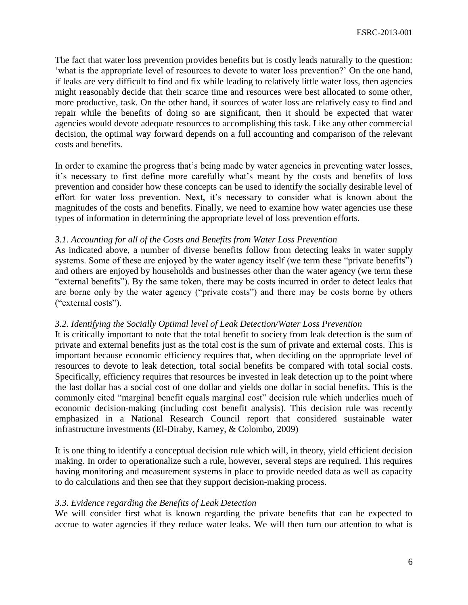The fact that water loss prevention provides benefits but is costly leads naturally to the question: 'what is the appropriate level of resources to devote to water loss prevention?' On the one hand, if leaks are very difficult to find and fix while leading to relatively little water loss, then agencies might reasonably decide that their scarce time and resources were best allocated to some other, more productive, task. On the other hand, if sources of water loss are relatively easy to find and repair while the benefits of doing so are significant, then it should be expected that water agencies would devote adequate resources to accomplishing this task. Like any other commercial decision, the optimal way forward depends on a full accounting and comparison of the relevant costs and benefits.

In order to examine the progress that's being made by water agencies in preventing water losses, it's necessary to first define more carefully what's meant by the costs and benefits of loss prevention and consider how these concepts can be used to identify the socially desirable level of effort for water loss prevention. Next, it's necessary to consider what is known about the magnitudes of the costs and benefits. Finally, we need to examine how water agencies use these types of information in determining the appropriate level of loss prevention efforts.

## *3.1. Accounting for all of the Costs and Benefits from Water Loss Prevention*

As indicated above, a number of diverse benefits follow from detecting leaks in water supply systems. Some of these are enjoyed by the water agency itself (we term these "private benefits") and others are enjoyed by households and businesses other than the water agency (we term these "external benefits"). By the same token, there may be costs incurred in order to detect leaks that are borne only by the water agency ("private costs") and there may be costs borne by others ("external costs").

## *3.2. Identifying the Socially Optimal level of Leak Detection/Water Loss Prevention*

It is critically important to note that the total benefit to society from leak detection is the sum of private and external benefits just as the total cost is the sum of private and external costs. This is important because economic efficiency requires that, when deciding on the appropriate level of resources to devote to leak detection, total social benefits be compared with total social costs. Specifically, efficiency requires that resources be invested in leak detection up to the point where the last dollar has a social cost of one dollar and yields one dollar in social benefits. This is the commonly cited "marginal benefit equals marginal cost" decision rule which underlies much of economic decision-making (including cost benefit analysis). This decision rule was recently emphasized in a National Research Council report that considered sustainable water infrastructure investments (El-Diraby, Karney, & Colombo, 2009)

It is one thing to identify a conceptual decision rule which will, in theory, yield efficient decision making. In order to operationalize such a rule, however, several steps are required. This requires having monitoring and measurement systems in place to provide needed data as well as capacity to do calculations and then see that they support decision-making process.

## *3.3. Evidence regarding the Benefits of Leak Detection*

We will consider first what is known regarding the private benefits that can be expected to accrue to water agencies if they reduce water leaks. We will then turn our attention to what is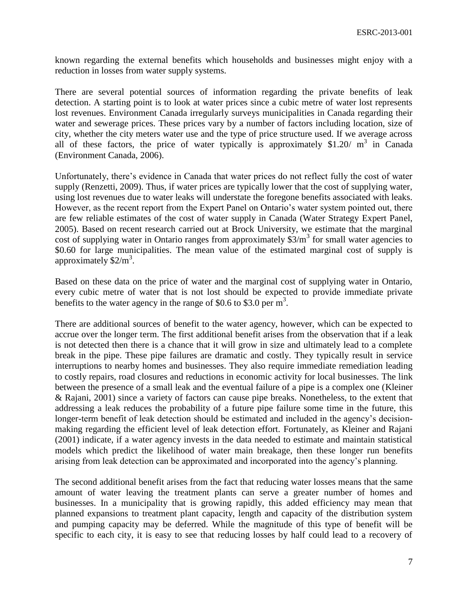known regarding the external benefits which households and businesses might enjoy with a reduction in losses from water supply systems.

There are several potential sources of information regarding the private benefits of leak detection. A starting point is to look at water prices since a cubic metre of water lost represents lost revenues. Environment Canada irregularly surveys municipalities in Canada regarding their water and sewerage prices. These prices vary by a number of factors including location, size of city, whether the city meters water use and the type of price structure used. If we average across all of these factors, the price of water typically is approximately \$1.20/ $m<sup>3</sup>$  in Canada (Environment Canada, 2006).

Unfortunately, there's evidence in Canada that water prices do not reflect fully the cost of water supply (Renzetti, 2009). Thus, if water prices are typically lower that the cost of supplying water, using lost revenues due to water leaks will understate the foregone benefits associated with leaks. However, as the recent report from the Expert Panel on Ontario's water system pointed out, there are few reliable estimates of the cost of water supply in Canada (Water Strategy Expert Panel, 2005). Based on recent research carried out at Brock University, we estimate that the marginal cost of supplying water in Ontario ranges from approximately  $$3/m^3$  for small water agencies to \$0.60 for large municipalities. The mean value of the estimated marginal cost of supply is approximately  $$2/m<sup>3</sup>$ .

Based on these data on the price of water and the marginal cost of supplying water in Ontario, every cubic metre of water that is not lost should be expected to provide immediate private benefits to the water agency in the range of \$0.6 to \$3.0 per  $m^3$ .

There are additional sources of benefit to the water agency, however, which can be expected to accrue over the longer term. The first additional benefit arises from the observation that if a leak is not detected then there is a chance that it will grow in size and ultimately lead to a complete break in the pipe. These pipe failures are dramatic and costly. They typically result in service interruptions to nearby homes and businesses. They also require immediate remediation leading to costly repairs, road closures and reductions in economic activity for local businesses. The link between the presence of a small leak and the eventual failure of a pipe is a complex one (Kleiner & Rajani, 2001) since a variety of factors can cause pipe breaks. Nonetheless, to the extent that addressing a leak reduces the probability of a future pipe failure some time in the future, this longer-term benefit of leak detection should be estimated and included in the agency's decisionmaking regarding the efficient level of leak detection effort. Fortunately, as Kleiner and Rajani (2001) indicate, if a water agency invests in the data needed to estimate and maintain statistical models which predict the likelihood of water main breakage, then these longer run benefits arising from leak detection can be approximated and incorporated into the agency's planning.

The second additional benefit arises from the fact that reducing water losses means that the same amount of water leaving the treatment plants can serve a greater number of homes and businesses. In a municipality that is growing rapidly, this added efficiency may mean that planned expansions to treatment plant capacity, length and capacity of the distribution system and pumping capacity may be deferred. While the magnitude of this type of benefit will be specific to each city, it is easy to see that reducing losses by half could lead to a recovery of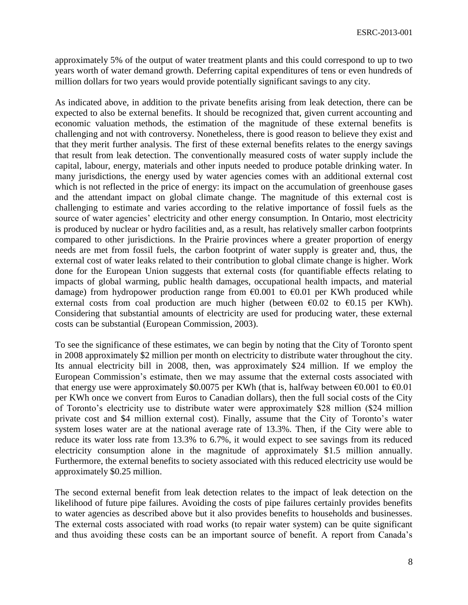approximately 5% of the output of water treatment plants and this could correspond to up to two years worth of water demand growth. Deferring capital expenditures of tens or even hundreds of million dollars for two years would provide potentially significant savings to any city.

As indicated above, in addition to the private benefits arising from leak detection, there can be expected to also be external benefits. It should be recognized that, given current accounting and economic valuation methods, the estimation of the magnitude of these external benefits is challenging and not with controversy. Nonetheless, there is good reason to believe they exist and that they merit further analysis. The first of these external benefits relates to the energy savings that result from leak detection. The conventionally measured costs of water supply include the capital, labour, energy, materials and other inputs needed to produce potable drinking water. In many jurisdictions, the energy used by water agencies comes with an additional external cost which is not reflected in the price of energy: its impact on the accumulation of greenhouse gases and the attendant impact on global climate change. The magnitude of this external cost is challenging to estimate and varies according to the relative importance of fossil fuels as the source of water agencies' electricity and other energy consumption. In Ontario, most electricity is produced by nuclear or hydro facilities and, as a result, has relatively smaller carbon footprints compared to other jurisdictions. In the Prairie provinces where a greater proportion of energy needs are met from fossil fuels, the carbon footprint of water supply is greater and, thus, the external cost of water leaks related to their contribution to global climate change is higher. Work done for the European Union suggests that external costs (for quantifiable effects relating to impacts of global warming, public health damages, occupational health impacts, and material damage) from hydropower production range from  $\epsilon$ 0.001 to  $\epsilon$ 0.01 per KWh produced while external costs from coal production are much higher (between  $\epsilon 0.02$  to  $\epsilon 0.15$  per KWh). Considering that substantial amounts of electricity are used for producing water, these external costs can be substantial (European Commission, 2003).

To see the significance of these estimates, we can begin by noting that the City of Toronto spent in 2008 approximately \$2 million per month on electricity to distribute water throughout the city. Its annual electricity bill in 2008, then, was approximately \$24 million. If we employ the European Commission's estimate, then we may assume that the external costs associated with that energy use were approximately \$0.0075 per KWh (that is, halfway between  $\epsilon$ 0.001 to  $\epsilon$ 0.01 per KWh once we convert from Euros to Canadian dollars), then the full social costs of the City of Toronto's electricity use to distribute water were approximately \$28 million (\$24 million private cost and \$4 million external cost). Finally, assume that the City of Toronto's water system loses water are at the national average rate of 13.3%. Then, if the City were able to reduce its water loss rate from 13.3% to 6.7%, it would expect to see savings from its reduced electricity consumption alone in the magnitude of approximately \$1.5 million annually. Furthermore, the external benefits to society associated with this reduced electricity use would be approximately \$0.25 million.

The second external benefit from leak detection relates to the impact of leak detection on the likelihood of future pipe failures. Avoiding the costs of pipe failures certainly provides benefits to water agencies as described above but it also provides benefits to households and businesses. The external costs associated with road works (to repair water system) can be quite significant and thus avoiding these costs can be an important source of benefit. A report from Canada's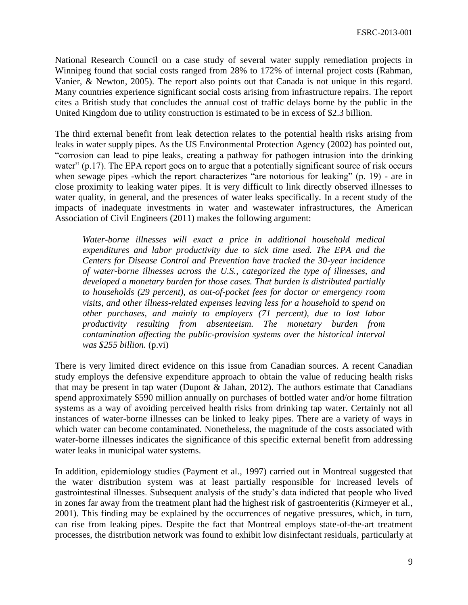National Research Council on a case study of several water supply remediation projects in Winnipeg found that social costs ranged from 28% to 172% of internal project costs (Rahman, Vanier, & Newton, 2005). The report also points out that Canada is not unique in this regard. Many countries experience significant social costs arising from infrastructure repairs. The report cites a British study that concludes the annual cost of traffic delays borne by the public in the United Kingdom due to utility construction is estimated to be in excess of \$2.3 billion.

The third external benefit from leak detection relates to the potential health risks arising from leaks in water supply pipes. As the US Environmental Protection Agency (2002) has pointed out, "corrosion can lead to pipe leaks, creating a pathway for pathogen intrusion into the drinking water" (p.17). The EPA report goes on to argue that a potentially significant source of risk occurs when sewage pipes -which the report characterizes "are notorious for leaking" (p. 19) - are in close proximity to leaking water pipes. It is very difficult to link directly observed illnesses to water quality, in general, and the presences of water leaks specifically. In a recent study of the impacts of inadequate investments in water and wastewater infrastructures, the American Association of Civil Engineers (2011) makes the following argument:

*Water-borne illnesses will exact a price in additional household medical expenditures and labor productivity due to sick time used. The EPA and the Centers for Disease Control and Prevention have tracked the 30-year incidence of water-borne illnesses across the U.S., categorized the type of illnesses, and developed a monetary burden for those cases. That burden is distributed partially to households (29 percent), as out-of-pocket fees for doctor or emergency room visits, and other illness-related expenses leaving less for a household to spend on other purchases, and mainly to employers (71 percent), due to lost labor productivity resulting from absenteeism. The monetary burden from contamination affecting the public-provision systems over the historical interval was \$255 billion.* (p.vi)

There is very limited direct evidence on this issue from Canadian sources. A recent Canadian study employs the defensive expenditure approach to obtain the value of reducing health risks that may be present in tap water (Dupont & Jahan, 2012). The authors estimate that Canadians spend approximately \$590 million annually on purchases of bottled water and/or home filtration systems as a way of avoiding perceived health risks from drinking tap water. Certainly not all instances of water-borne illnesses can be linked to leaky pipes. There are a variety of ways in which water can become contaminated. Nonetheless, the magnitude of the costs associated with water-borne illnesses indicates the significance of this specific external benefit from addressing water leaks in municipal water systems.

In addition, epidemiology studies (Payment et al., 1997) carried out in Montreal suggested that the water distribution system was at least partially responsible for increased levels of gastrointestinal illnesses. Subsequent analysis of the study's data indicted that people who lived in zones far away from the treatment plant had the highest risk of gastroenteritis (Kirmeyer et al., 2001). This finding may be explained by the occurrences of negative pressures, which, in turn, can rise from leaking pipes. Despite the fact that Montreal employs state-of-the-art treatment processes, the distribution network was found to exhibit low disinfectant residuals, particularly at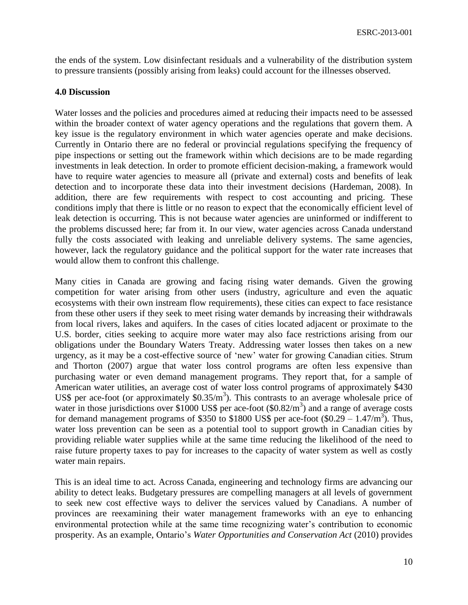the ends of the system. Low disinfectant residuals and a vulnerability of the distribution system to pressure transients (possibly arising from leaks) could account for the illnesses observed.

## **4.0 Discussion**

Water losses and the policies and procedures aimed at reducing their impacts need to be assessed within the broader context of water agency operations and the regulations that govern them. A key issue is the regulatory environment in which water agencies operate and make decisions. Currently in Ontario there are no federal or provincial regulations specifying the frequency of pipe inspections or setting out the framework within which decisions are to be made regarding investments in leak detection. In order to promote efficient decision-making, a framework would have to require water agencies to measure all (private and external) costs and benefits of leak detection and to incorporate these data into their investment decisions (Hardeman, 2008). In addition, there are few requirements with respect to cost accounting and pricing. These conditions imply that there is little or no reason to expect that the economically efficient level of leak detection is occurring. This is not because water agencies are uninformed or indifferent to the problems discussed here; far from it. In our view, water agencies across Canada understand fully the costs associated with leaking and unreliable delivery systems. The same agencies, however, lack the regulatory guidance and the political support for the water rate increases that would allow them to confront this challenge.

Many cities in Canada are growing and facing rising water demands. Given the growing competition for water arising from other users (industry, agriculture and even the aquatic ecosystems with their own instream flow requirements), these cities can expect to face resistance from these other users if they seek to meet rising water demands by increasing their withdrawals from local rivers, lakes and aquifers. In the cases of cities located adjacent or proximate to the U.S. border, cities seeking to acquire more water may also face restrictions arising from our obligations under the Boundary Waters Treaty. Addressing water losses then takes on a new urgency, as it may be a cost-effective source of 'new' water for growing Canadian cities. Strum and Thorton (2007) argue that water loss control programs are often less expensive than purchasing water or even demand management programs. They report that, for a sample of American water utilities, an average cost of water loss control programs of approximately \$430 US\$ per ace-foot (or approximately  $$0.35/m<sup>3</sup>$ ). This contrasts to an average wholesale price of water in those jurisdictions over \$1000 US\$ per ace-foot  $(\text{$}0.82/\text{m}^3)$  and a range of average costs for demand management programs of \$350 to \$1800 US\$ per ace-foot  $(\$0.29 - 1.47/m^3)$ . Thus, water loss prevention can be seen as a potential tool to support growth in Canadian cities by providing reliable water supplies while at the same time reducing the likelihood of the need to raise future property taxes to pay for increases to the capacity of water system as well as costly water main repairs.

This is an ideal time to act. Across Canada, engineering and technology firms are advancing our ability to detect leaks. Budgetary pressures are compelling managers at all levels of government to seek new cost effective ways to deliver the services valued by Canadians. A number of provinces are reexamining their water management frameworks with an eye to enhancing environmental protection while at the same time recognizing water's contribution to economic prosperity. As an example, Ontario's *Water Opportunities and Conservation Act* (2010) provides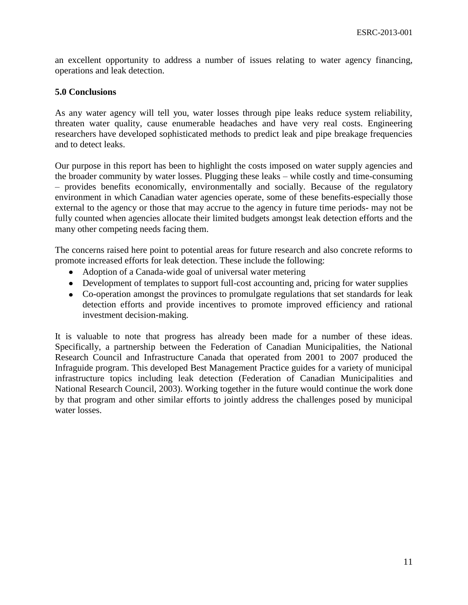an excellent opportunity to address a number of issues relating to water agency financing, operations and leak detection.

## **5.0 Conclusions**

As any water agency will tell you, water losses through pipe leaks reduce system reliability, threaten water quality, cause enumerable headaches and have very real costs. Engineering researchers have developed sophisticated methods to predict leak and pipe breakage frequencies and to detect leaks.

Our purpose in this report has been to highlight the costs imposed on water supply agencies and the broader community by water losses. Plugging these leaks – while costly and time-consuming – provides benefits economically, environmentally and socially. Because of the regulatory environment in which Canadian water agencies operate, some of these benefits-especially those external to the agency or those that may accrue to the agency in future time periods- may not be fully counted when agencies allocate their limited budgets amongst leak detection efforts and the many other competing needs facing them.

The concerns raised here point to potential areas for future research and also concrete reforms to promote increased efforts for leak detection. These include the following:

- Adoption of a Canada-wide goal of universal water metering
- Development of templates to support full-cost accounting and, pricing for water supplies
- Co-operation amongst the provinces to promulgate regulations that set standards for leak detection efforts and provide incentives to promote improved efficiency and rational investment decision-making.

It is valuable to note that progress has already been made for a number of these ideas. Specifically, a partnership between the Federation of Canadian Municipalities, the National Research Council and Infrastructure Canada that operated from 2001 to 2007 produced the Infraguide program. This developed Best Management Practice guides for a variety of municipal infrastructure topics including leak detection (Federation of Canadian Municipalities and National Research Council, 2003). Working together in the future would continue the work done by that program and other similar efforts to jointly address the challenges posed by municipal water losses.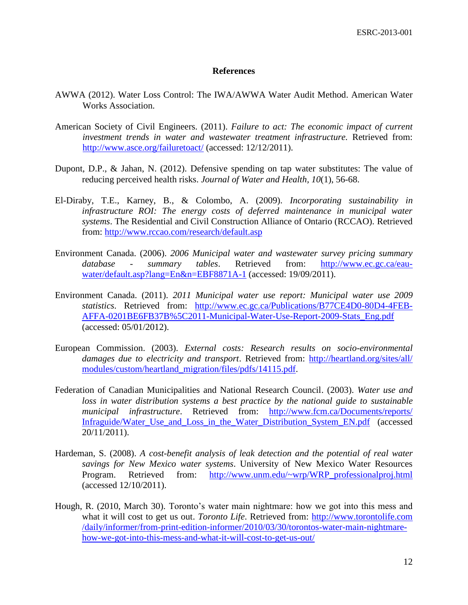#### **References**

- AWWA (2012). Water Loss Control: The IWA/AWWA Water Audit Method. American Water Works Association.
- American Society of Civil Engineers. (2011). *Failure to act: The economic impact of current investment trends in water and wastewater treatment infrastructure.* Retrieved from: <http://www.asce.org/failuretoact/> (accessed: 12/12/2011).
- Dupont, D.P., & Jahan, N. (2012). Defensive spending on tap water substitutes: The value of reducing perceived health risks. *Journal of Water and Health, 10*(1), 56-68.
- El-Diraby, T.E., Karney, B., & Colombo, A. (2009). *Incorporating sustainability in infrastructure ROI: The energy costs of deferred maintenance in municipal water systems*. The Residential and Civil Construction Alliance of Ontario (RCCAO). Retrieved from:<http://www.rccao.com/research/default.asp>
- Environment Canada. (2006). *2006 Municipal water and wastewater survey pricing summary database - summary tables*. Retrieved from: [http://www.ec.gc.ca/eau](http://www.ec.gc.ca/eau-water/default.asp?lang=En&n=EBF8871A-1)[water/default.asp?lang=En&n=EBF8871A-1](http://www.ec.gc.ca/eau-water/default.asp?lang=En&n=EBF8871A-1) (accessed: 19/09/2011).
- Environment Canada. (2011). *2011 Municipal water use report: Municipal water use 2009 statistics*. Retrieved from: [http://www.ec.gc.ca/Publications/B77CE4D0-80D4-4FEB-](http://www.ec.gc.ca/Publications/B77CE4D0-80D4-4FEB-AFFA-0201BE6FB37B%5C2011-Municipal-Water-Use-Report-2009-Stats_Eng.pdf)[AFFA-0201BE6FB37B%5C2011-Municipal-Water-Use-Report-2009-Stats\\_Eng.pdf](http://www.ec.gc.ca/Publications/B77CE4D0-80D4-4FEB-AFFA-0201BE6FB37B%5C2011-Municipal-Water-Use-Report-2009-Stats_Eng.pdf) (accessed: 05/01/2012).
- European Commission. (2003). *External costs: Research results on socio-environmental damages due to electricity and transport*. Retrieved from: [http://heartland.org/sites/all/](http://heartland.org/sites/all/%20modules/custom/heartland_migration/files/pdfs/14115.pdf)  [modules/custom/heartland\\_migration/files/pdfs/14115.pdf.](http://heartland.org/sites/all/%20modules/custom/heartland_migration/files/pdfs/14115.pdf)
- Federation of Canadian Municipalities and National Research Council. (2003). *Water use and loss in water distribution systems a best practice by the national guide to sustainable municipal infrastructure*. Retrieved from: [http://www.fcm.ca/Documents/reports/](http://www.fcm.ca/Documents/reports/%20Infraguide/Water_Use_and_Loss_in_the_Water_Distribution_System_EN.pdf)  [Infraguide/Water\\_Use\\_and\\_Loss\\_in\\_the\\_Water\\_Distribution\\_System\\_EN.pdf](http://www.fcm.ca/Documents/reports/%20Infraguide/Water_Use_and_Loss_in_the_Water_Distribution_System_EN.pdf) (accessed 20/11/2011).
- Hardeman, S. (2008). *A cost-benefit analysis of leak detection and the potential of real water savings for New Mexico water systems*. University of New Mexico Water Resources Program. Retrieved from: [http://www.unm.edu/~wrp/WRP\\_professionalproj.html](http://www.unm.edu/~wrp/WRP_professionalproj.html) (accessed 12/10/2011).
- Hough, R. (2010, March 30). Toronto's water main nightmare: how we got into this mess and what it will cost to get us out. *Toronto Life*. Retrieved from: http://www.torontolife.com /daily/informer/from-print-edition-informer/2010/03/30/torontos-water-main-nightmarehow-we-got-into-this-mess-and-what-it-will-cost-to-get-us-out/